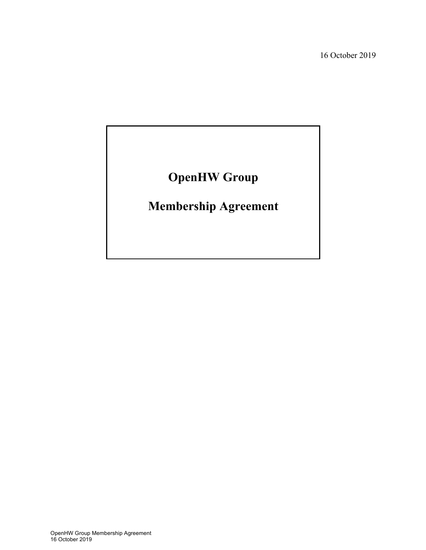16 October 2019

# **OpenHW Group**

# **Membership Agreement**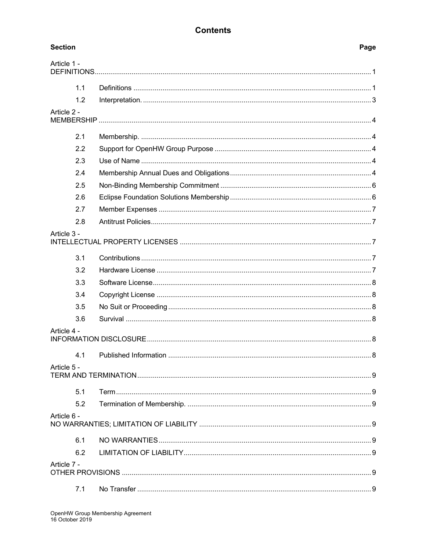# **Contents**

| <b>Section</b> | Page |
|----------------|------|
| Article 1 -    |      |
| 1.1            |      |
| 1.2            |      |
| Article 2 -    |      |
| 2.1            |      |
| 2.2            |      |
| 2.3            |      |
| 2.4            |      |
| 2.5            |      |
| 2.6            |      |
| 2.7            |      |
| 2.8            |      |
| Article 3 -    |      |
| 3.1            |      |
| 3.2            |      |
| 3.3            |      |
| 3.4            |      |
| 3.5            |      |
| 3.6            |      |
| Article 4 -    |      |
| 4.1            |      |
| Article 5 -    |      |
| 5.1            |      |
| 5.2            |      |
| Article 6 -    |      |
| 6.1            |      |
| 6.2            |      |
| Article 7 -    |      |
| 7.1            |      |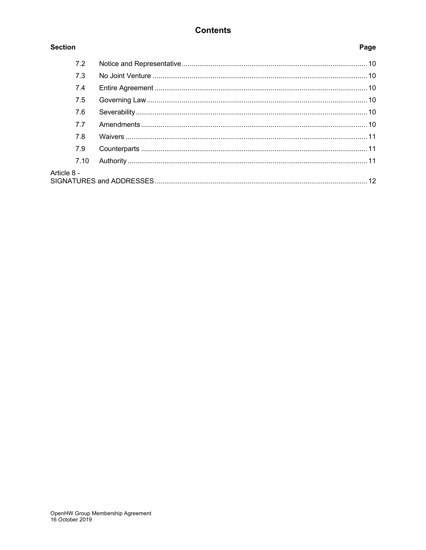# **Contents**

## **Section**

# Page

| 7.2         |  |
|-------------|--|
| 7.3         |  |
| 7.4         |  |
| 7.5         |  |
| 7.6         |  |
| 7.7         |  |
| 7.8         |  |
| 7.9         |  |
| 7.10        |  |
| Article 8 - |  |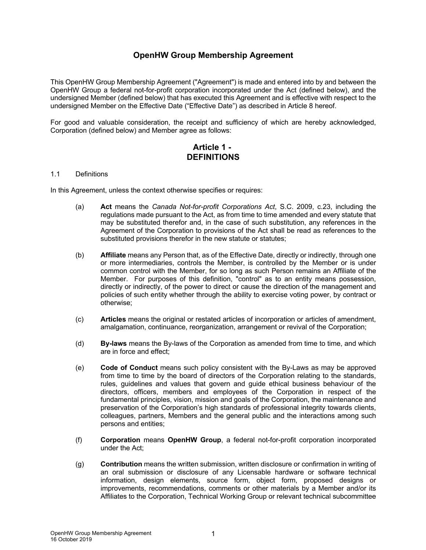# **OpenHW Group Membership Agreement**

This OpenHW Group Membership Agreement ("Agreement") is made and entered into by and between the OpenHW Group a federal not-for-profit corporation incorporated under the Act (defined below), and the undersigned Member (defined below) that has executed this Agreement and is effective with respect to the undersigned Member on the Effective Date ("Effective Date") as described in Article 8 hereof.

For good and valuable consideration, the receipt and sufficiency of which are hereby acknowledged, Corporation (defined below) and Member agree as follows:

## **Article 1 - DEFINITIONS**

#### 1.1 Definitions

In this Agreement, unless the context otherwise specifies or requires:

- (a) **Act** means the *Canada Not-for-profit Corporations Act*, S.C. 2009, c.23, including the regulations made pursuant to the Act, as from time to time amended and every statute that may be substituted therefor and, in the case of such substitution, any references in the Agreement of the Corporation to provisions of the Act shall be read as references to the substituted provisions therefor in the new statute or statutes;
- (b) **Affiliate** means any Person that, as of the Effective Date, directly or indirectly, through one or more intermediaries, controls the Member, is controlled by the Member or is under common control with the Member, for so long as such Person remains an Affiliate of the Member. For purposes of this definition, "control" as to an entity means possession, directly or indirectly, of the power to direct or cause the direction of the management and policies of such entity whether through the ability to exercise voting power, by contract or otherwise;
- (c) **Articles** means the original or restated articles of incorporation or articles of amendment, amalgamation, continuance, reorganization, arrangement or revival of the Corporation;
- (d) **By-laws** means the By-laws of the Corporation as amended from time to time, and which are in force and effect;
- (e) **Code of Conduct** means such policy consistent with the By-Laws as may be approved from time to time by the board of directors of the Corporation relating to the standards, rules, guidelines and values that govern and guide ethical business behaviour of the directors, officers, members and employees of the Corporation in respect of the fundamental principles, vision, mission and goals of the Corporation, the maintenance and preservation of the Corporation's high standards of professional integrity towards clients, colleagues, partners, Members and the general public and the interactions among such persons and entities;
- (f) **Corporation** means **OpenHW Group**, a federal not-for-profit corporation incorporated under the Act;
- (g) **Contribution** means the written submission, written disclosure or confirmation in writing of an oral submission or disclosure of any Licensable hardware or software technical information, design elements, source form, object form, proposed designs or improvements, recommendations, comments or other materials by a Member and/or its Affiliates to the Corporation, Technical Working Group or relevant technical subcommittee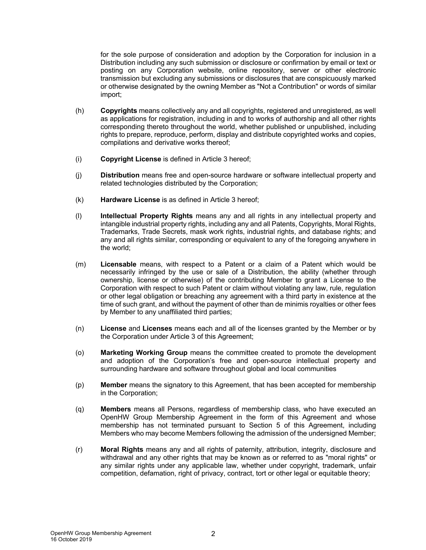for the sole purpose of consideration and adoption by the Corporation for inclusion in a Distribution including any such submission or disclosure or confirmation by email or text or posting on any Corporation website, online repository, server or other electronic transmission but excluding any submissions or disclosures that are conspicuously marked or otherwise designated by the owning Member as "Not a Contribution" or words of similar import;

- (h) **Copyrights** means collectively any and all copyrights, registered and unregistered, as well as applications for registration, including in and to works of authorship and all other rights corresponding thereto throughout the world, whether published or unpublished, including rights to prepare, reproduce, perform, display and distribute copyrighted works and copies, compilations and derivative works thereof;
- (i) **Copyright License** is defined in Article 3 hereof;
- (j) **Distribution** means free and open-source hardware or software intellectual property and related technologies distributed by the Corporation;
- (k) **Hardware License** is as defined in Article 3 hereof;
- (l) **Intellectual Property Rights** means any and all rights in any intellectual property and intangible industrial property rights, including any and all Patents, Copyrights, Moral Rights, Trademarks, Trade Secrets, mask work rights, industrial rights, and database rights; and any and all rights similar, corresponding or equivalent to any of the foregoing anywhere in the world;
- (m) **Licensable** means, with respect to a Patent or a claim of a Patent which would be necessarily infringed by the use or sale of a Distribution, the ability (whether through ownership, license or otherwise) of the contributing Member to grant a License to the Corporation with respect to such Patent or claim without violating any law, rule, regulation or other legal obligation or breaching any agreement with a third party in existence at the time of such grant, and without the payment of other than de minimis royalties or other fees by Member to any unaffiliated third parties;
- (n) **License** and **Licenses** means each and all of the licenses granted by the Member or by the Corporation under Article 3 of this Agreement;
- (o) **Marketing Working Group** means the committee created to promote the development and adoption of the Corporation's free and open-source intellectual property and surrounding hardware and software throughout global and local communities
- (p) **Member** means the signatory to this Agreement, that has been accepted for membership in the Corporation;
- (q) **Members** means all Persons, regardless of membership class, who have executed an OpenHW Group Membership Agreement in the form of this Agreement and whose membership has not terminated pursuant to Section 5 of this Agreement, including Members who may become Members following the admission of the undersigned Member;
- (r) **Moral Rights** means any and all rights of paternity, attribution, integrity, disclosure and withdrawal and any other rights that may be known as or referred to as "moral rights" or any similar rights under any applicable law, whether under copyright, trademark, unfair competition, defamation, right of privacy, contract, tort or other legal or equitable theory;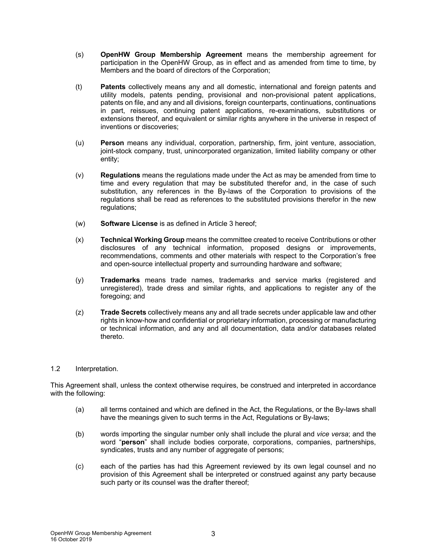- (s) **OpenHW Group Membership Agreement** means the membership agreement for participation in the OpenHW Group, as in effect and as amended from time to time, by Members and the board of directors of the Corporation;
- (t) **Patents** collectively means any and all domestic, international and foreign patents and utility models, patents pending, provisional and non-provisional patent applications, patents on file, and any and all divisions, foreign counterparts, continuations, continuations in part, reissues, continuing patent applications, re-examinations, substitutions or extensions thereof, and equivalent or similar rights anywhere in the universe in respect of inventions or discoveries;
- (u) **Person** means any individual, corporation, partnership, firm, joint venture, association, joint-stock company, trust, unincorporated organization, limited liability company or other entity;
- (v) **Regulations** means the regulations made under the Act as may be amended from time to time and every regulation that may be substituted therefor and, in the case of such substitution, any references in the By-laws of the Corporation to provisions of the regulations shall be read as references to the substituted provisions therefor in the new regulations;
- (w) **Software License** is as defined in Article 3 hereof;
- (x) **Technical Working Group** means the committee created to receive Contributions or other disclosures of any technical information, proposed designs or improvements, recommendations, comments and other materials with respect to the Corporation's free and open-source intellectual property and surrounding hardware and software;
- (y) **Trademarks** means trade names, trademarks and service marks (registered and unregistered), trade dress and similar rights, and applications to register any of the foregoing; and
- (z) **Trade Secrets** collectively means any and all trade secrets under applicable law and other rights in know-how and confidential or proprietary information, processing or manufacturing or technical information, and any and all documentation, data and/or databases related thereto.

#### 1.2 Interpretation.

This Agreement shall, unless the context otherwise requires, be construed and interpreted in accordance with the following:

- (a) all terms contained and which are defined in the Act, the Regulations, or the By-laws shall have the meanings given to such terms in the Act, Regulations or By-laws;
- (b) words importing the singular number only shall include the plural and *vice versa*; and the word "**person**" shall include bodies corporate, corporations, companies, partnerships, syndicates, trusts and any number of aggregate of persons;
- (c) each of the parties has had this Agreement reviewed by its own legal counsel and no provision of this Agreement shall be interpreted or construed against any party because such party or its counsel was the drafter thereof;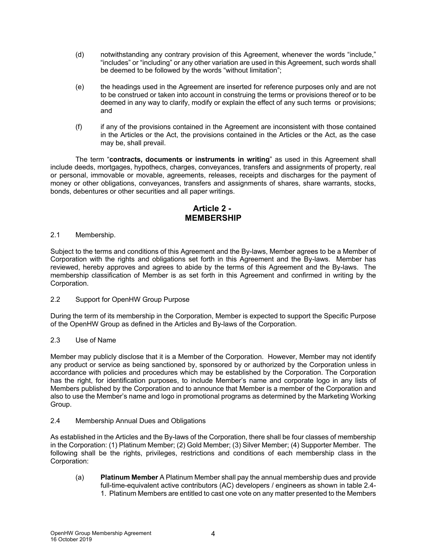- (d) notwithstanding any contrary provision of this Agreement, whenever the words "include," "includes" or "including" or any other variation are used in this Agreement, such words shall be deemed to be followed by the words "without limitation";
- (e) the headings used in the Agreement are inserted for reference purposes only and are not to be construed or taken into account in construing the terms or provisions thereof or to be deemed in any way to clarify, modify or explain the effect of any such terms or provisions; and
- (f) if any of the provisions contained in the Agreement are inconsistent with those contained in the Articles or the Act, the provisions contained in the Articles or the Act, as the case may be, shall prevail.

The term "**contracts, documents or instruments in writing**" as used in this Agreement shall include deeds, mortgages, hypothecs, charges, conveyances, transfers and assignments of property, real or personal, immovable or movable, agreements, releases, receipts and discharges for the payment of money or other obligations, conveyances, transfers and assignments of shares, share warrants, stocks, bonds, debentures or other securities and all paper writings.

# **Article 2 - MEMBERSHIP**

#### 2.1 Membership.

Subject to the terms and conditions of this Agreement and the By-laws, Member agrees to be a Member of Corporation with the rights and obligations set forth in this Agreement and the By-laws. Member has reviewed, hereby approves and agrees to abide by the terms of this Agreement and the By-laws. The membership classification of Member is as set forth in this Agreement and confirmed in writing by the Corporation.

#### 2.2 Support for OpenHW Group Purpose

During the term of its membership in the Corporation, Member is expected to support the Specific Purpose of the OpenHW Group as defined in the Articles and By-laws of the Corporation.

## 2.3 Use of Name

Member may publicly disclose that it is a Member of the Corporation. However, Member may not identify any product or service as being sanctioned by, sponsored by or authorized by the Corporation unless in accordance with policies and procedures which may be established by the Corporation. The Corporation has the right, for identification purposes, to include Member's name and corporate logo in any lists of Members published by the Corporation and to announce that Member is a member of the Corporation and also to use the Member's name and logo in promotional programs as determined by the Marketing Working Group.

#### 2.4 Membership Annual Dues and Obligations

As established in the Articles and the By-laws of the Corporation, there shall be four classes of membership in the Corporation: (1) Platinum Member; (2) Gold Member; (3) Silver Member; (4) Supporter Member. The following shall be the rights, privileges, restrictions and conditions of each membership class in the Corporation:

(a) **Platinum Member** A Platinum Member shall pay the annual membership dues and provide full-time-equivalent active contributors (AC) developers / engineers as shown in table 2.4- 1. Platinum Members are entitled to cast one vote on any matter presented to the Members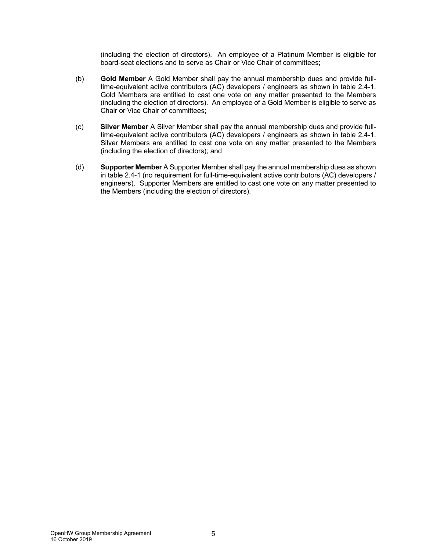(including the election of directors). An employee of a Platinum Member is eligible for board-seat elections and to serve as Chair or Vice Chair of committees;

- (b) **Gold Member** A Gold Member shall pay the annual membership dues and provide fulltime-equivalent active contributors (AC) developers / engineers as shown in table 2.4-1. Gold Members are entitled to cast one vote on any matter presented to the Members (including the election of directors). An employee of a Gold Member is eligible to serve as Chair or Vice Chair of committees;
- (c) **Silver Member** A Silver Member shall pay the annual membership dues and provide fulltime-equivalent active contributors (AC) developers / engineers as shown in table 2.4-1. Silver Members are entitled to cast one vote on any matter presented to the Members (including the election of directors); and
- (d) **Supporter Member** A Supporter Member shall pay the annual membership dues as shown in table 2.4-1 (no requirement for full-time-equivalent active contributors (AC) developers / engineers). Supporter Members are entitled to cast one vote on any matter presented to the Members (including the election of directors).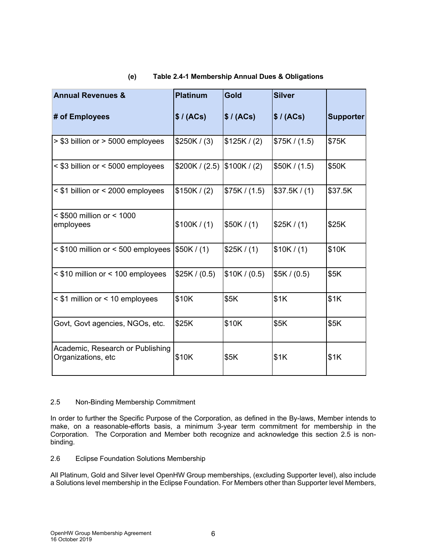| <b>Annual Revenues &amp;</b>                           | <b>Platinum</b> | Gold          | <b>Silver</b> |                  |  |
|--------------------------------------------------------|-----------------|---------------|---------------|------------------|--|
| # of Employees                                         | \$/ (ACs)       | \$/ (ACs)     | \$/ (ACs)     | <b>Supporter</b> |  |
| > \$3 billion or > 5000 employees                      | \$250K / (3)    | \$125K/(2)    | \$75K / (1.5) | \$75K            |  |
| < \$3 billion or < 5000 employees                      | \$200K / (2.5)  | \$100K/(2)    | \$50K / (1.5) | \$50K            |  |
| < \$1 billion or < 2000 employees                      | \$150K/(2)      | \$75K / (1.5) | \$37.5K/(1)   | \$37.5K          |  |
| $<$ \$500 million or $<$ 1000<br>employees             | \$100K/(1)      | \$50K/(1)     | \$25K/(1)     | \$25K            |  |
| $\leq$ \$100 million or $\leq$ 500 employees           | \$50K/(1)       | \$25K/(1)     | \$10K/(1)     | \$10K            |  |
| < \$10 million or < 100 employees                      | \$25K / (0.5)   | \$10K / (0.5) | \$5K/(0.5)    | \$5K             |  |
| < \$1 million or < 10 employees                        | \$10K           | \$5K          | \$1K          | \$1K             |  |
| Govt, Govt agencies, NGOs, etc.                        | \$25K           | \$10K         | \$5K          | \$5K             |  |
| Academic, Research or Publishing<br>Organizations, etc | \$10K           | \$5K          | \$1K          | \$1K             |  |

#### **(e) Table 2.4-1 Membership Annual Dues & Obligations**

#### 2.5 Non-Binding Membership Commitment

In order to further the Specific Purpose of the Corporation, as defined in the By-laws, Member intends to make, on a reasonable-efforts basis, a minimum 3-year term commitment for membership in the Corporation. The Corporation and Member both recognize and acknowledge this section 2.5 is nonbinding.

#### 2.6 Eclipse Foundation Solutions Membership

All Platinum, Gold and Silver level OpenHW Group memberships, (excluding Supporter level), also include a Solutions level membership in the Eclipse Foundation. For Members other than Supporter level Members,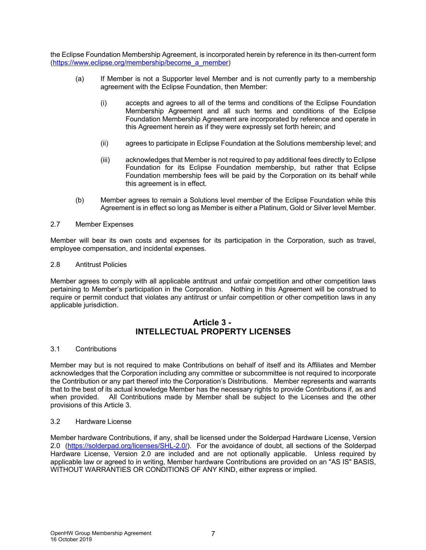the Eclipse Foundation Membership Agreement, is incorporated herein by reference in its then-current form (https://www.eclipse.org/membership/become\_a\_member)

- (a) If Member is not a Supporter level Member and is not currently party to a membership agreement with the Eclipse Foundation, then Member:
	- (i) accepts and agrees to all of the terms and conditions of the Eclipse Foundation Membership Agreement and all such terms and conditions of the Eclipse Foundation Membership Agreement are incorporated by reference and operate in this Agreement herein as if they were expressly set forth herein; and
	- (ii) agrees to participate in Eclipse Foundation at the Solutions membership level; and
	- (iii) acknowledges that Member is not required to pay additional fees directly to Eclipse Foundation for its Eclipse Foundation membership, but rather that Eclipse Foundation membership fees will be paid by the Corporation on its behalf while this agreement is in effect.
- (b) Member agrees to remain a Solutions level member of the Eclipse Foundation while this Agreement is in effect so long as Member is either a Platinum, Gold or Silver level Member.

#### 2.7 Member Expenses

Member will bear its own costs and expenses for its participation in the Corporation, such as travel, employee compensation, and incidental expenses.

#### 2.8 Antitrust Policies

Member agrees to comply with all applicable antitrust and unfair competition and other competition laws pertaining to Member's participation in the Corporation. Nothing in this Agreement will be construed to require or permit conduct that violates any antitrust or unfair competition or other competition laws in any applicable jurisdiction.

## **Article 3 - INTELLECTUAL PROPERTY LICENSES**

#### 3.1 Contributions

Member may but is not required to make Contributions on behalf of itself and its Affiliates and Member acknowledges that the Corporation including any committee or subcommittee is not required to incorporate the Contribution or any part thereof into the Corporation's Distributions. Member represents and warrants that to the best of its actual knowledge Member has the necessary rights to provide Contributions if, as and when provided. All Contributions made by Member shall be subject to the Licenses and the other provisions of this Article 3.

#### 3.2 Hardware License

Member hardware Contributions, if any, shall be licensed under the Solderpad Hardware License, Version 2.0 (https://solderpad.org/licenses/SHL-2.0/). For the avoidance of doubt, all sections of the Solderpad Hardware License, Version 2.0 are included and are not optionally applicable. Unless required by applicable law or agreed to in writing, Member hardware Contributions are provided on an "AS IS" BASIS, WITHOUT WARRANTIES OR CONDITIONS OF ANY KIND, either express or implied.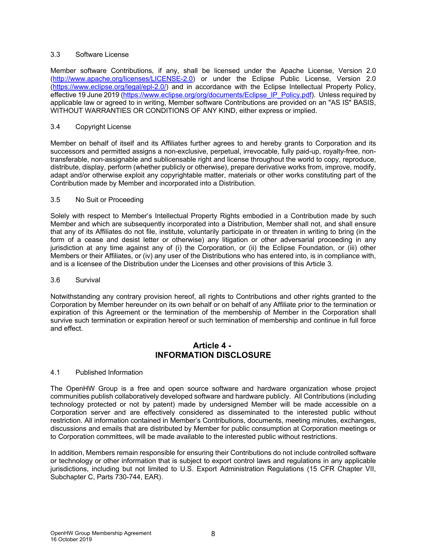#### 3.3 Software License

Member software Contributions, if any, shall be licensed under the Apache License, Version 2.0 (http://www.apache.org/licenses/LICENSE-2.0) or under the Eclipse Public License, Version 2.0 (https://www.eclipse.org/legal/epl-2.0/) and in accordance with the Eclipse Intellectual Property Policy, effective 19 June 2019 (https://www.eclipse.org/org/documents/Eclipse\_IP\_Policy.pdf). Unless required by applicable law or agreed to in writing, Member software Contributions are provided on an "AS IS" BASIS, WITHOUT WARRANTIES OR CONDITIONS OF ANY KIND, either express or implied.

#### 3.4 Copyright License

Member on behalf of itself and its Affiliates further agrees to and hereby grants to Corporation and its successors and permitted assigns a non-exclusive, perpetual, irrevocable, fully paid-up, royalty-free, nontransferable, non-assignable and sublicensable right and license throughout the world to copy, reproduce, distribute, display, perform (whether publicly or otherwise), prepare derivative works from, improve, modify, adapt and/or otherwise exploit any copyrightable matter, materials or other works constituting part of the Contribution made by Member and incorporated into a Distribution.

#### 3.5 No Suit or Proceeding

Solely with respect to Member's Intellectual Property Rights embodied in a Contribution made by such Member and which are subsequently incorporated into a Distribution, Member shall not, and shall ensure that any of its Affiliates do not file, institute, voluntarily participate in or threaten in writing to bring (in the form of a cease and desist letter or otherwise) any litigation or other adversarial proceeding in any jurisdiction at any time against any of (i) the Corporation, or (ii) the Eclipse Foundation, or (iii) other Members or their Affiliates, or (iv) any user of the Distributions who has entered into, is in compliance with, and is a licensee of the Distribution under the Licenses and other provisions of this Article 3.

#### 3.6 Survival

Notwithstanding any contrary provision hereof, all rights to Contributions and other rights granted to the Corporation by Member hereunder on its own behalf or on behalf of any Affiliate prior to the termination or expiration of this Agreement or the termination of the membership of Member in the Corporation shall survive such termination or expiration hereof or such termination of membership and continue in full force and effect.

## **Article 4 - INFORMATION DISCLOSURE**

#### 4.1 Published Information

The OpenHW Group is a free and open source software and hardware organization whose project communities publish collaboratively developed software and hardware publicly. All Contributions (including technology protected or not by patent) made by undersigned Member will be made accessible on a Corporation server and are effectively considered as disseminated to the interested public without restriction. All information contained in Member's Contributions, documents, meeting minutes, exchanges, discussions and emails that are distributed by Member for public consumption at Corporation meetings or to Corporation committees, will be made available to the interested public without restrictions.

In addition, Members remain responsible for ensuring their Contributions do not include controlled software or technology or other information that is subject to export control laws and regulations in any applicable jurisdictions, including but not limited to U.S. Export Administration Regulations (15 CFR Chapter VII, Subchapter C, Parts 730-744, EAR).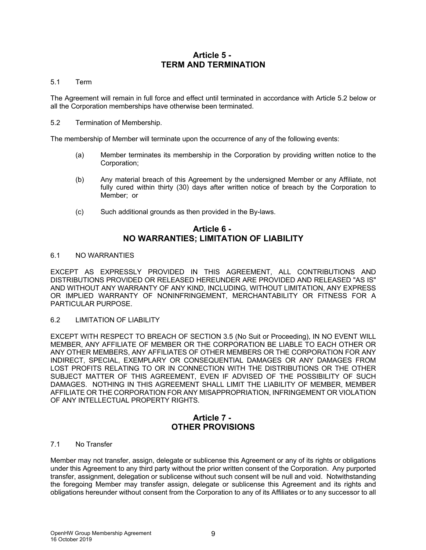## **Article 5 - TERM AND TERMINATION**

#### 5.1 Term

The Agreement will remain in full force and effect until terminated in accordance with Article 5.2 below or all the Corporation memberships have otherwise been terminated.

5.2 Termination of Membership.

The membership of Member will terminate upon the occurrence of any of the following events:

- (a) Member terminates its membership in the Corporation by providing written notice to the Corporation;
- (b) Any material breach of this Agreement by the undersigned Member or any Affiliate, not fully cured within thirty (30) days after written notice of breach by the Corporation to Member; or
- (c) Such additional grounds as then provided in the By-laws.

## **Article 6 - NO WARRANTIES; LIMITATION OF LIABILITY**

#### 6.1 NO WARRANTIES

EXCEPT AS EXPRESSLY PROVIDED IN THIS AGREEMENT, ALL CONTRIBUTIONS AND DISTRIBUTIONS PROVIDED OR RELEASED HEREUNDER ARE PROVIDED AND RELEASED "AS IS" AND WITHOUT ANY WARRANTY OF ANY KIND, INCLUDING, WITHOUT LIMITATION, ANY EXPRESS OR IMPLIED WARRANTY OF NONINFRINGEMENT, MERCHANTABILITY OR FITNESS FOR A PARTICULAR PURPOSE.

#### 6.2 LIMITATION OF LIABILITY

EXCEPT WITH RESPECT TO BREACH OF SECTION 3.5 (No Suit or Proceeding), IN NO EVENT WILL MEMBER, ANY AFFILIATE OF MEMBER OR THE CORPORATION BE LIABLE TO EACH OTHER OR ANY OTHER MEMBERS, ANY AFFILIATES OF OTHER MEMBERS OR THE CORPORATION FOR ANY INDIRECT, SPECIAL, EXEMPLARY OR CONSEQUENTIAL DAMAGES OR ANY DAMAGES FROM LOST PROFITS RELATING TO OR IN CONNECTION WITH THE DISTRIBUTIONS OR THE OTHER SUBJECT MATTER OF THIS AGREEMENT, EVEN IF ADVISED OF THE POSSIBILITY OF SUCH DAMAGES. NOTHING IN THIS AGREEMENT SHALL LIMIT THE LIABILITY OF MEMBER, MEMBER AFFILIATE OR THE CORPORATION FOR ANY MISAPPROPRIATION, INFRINGEMENT OR VIOLATION OF ANY INTELLECTUAL PROPERTY RIGHTS.

## **Article 7 - OTHER PROVISIONS**

#### 7.1 No Transfer

Member may not transfer, assign, delegate or sublicense this Agreement or any of its rights or obligations under this Agreement to any third party without the prior written consent of the Corporation. Any purported transfer, assignment, delegation or sublicense without such consent will be null and void. Notwithstanding the foregoing Member may transfer assign, delegate or sublicense this Agreement and its rights and obligations hereunder without consent from the Corporation to any of its Affiliates or to any successor to all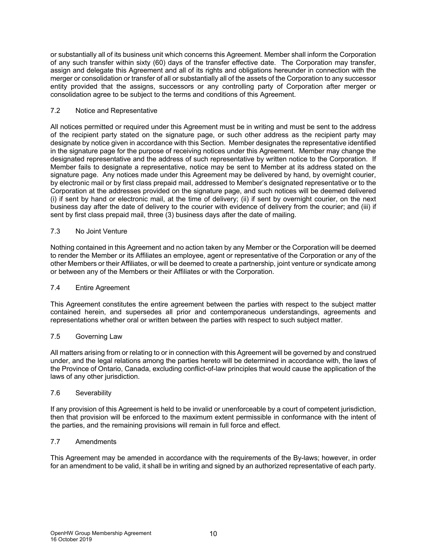or substantially all of its business unit which concerns this Agreement. Member shall inform the Corporation of any such transfer within sixty (60) days of the transfer effective date. The Corporation may transfer, assign and delegate this Agreement and all of its rights and obligations hereunder in connection with the merger or consolidation or transfer of all or substantially all of the assets of the Corporation to any successor entity provided that the assigns, successors or any controlling party of Corporation after merger or consolidation agree to be subject to the terms and conditions of this Agreement.

#### 7.2 Notice and Representative

All notices permitted or required under this Agreement must be in writing and must be sent to the address of the recipient party stated on the signature page, or such other address as the recipient party may designate by notice given in accordance with this Section. Member designates the representative identified in the signature page for the purpose of receiving notices under this Agreement. Member may change the designated representative and the address of such representative by written notice to the Corporation. If Member fails to designate a representative, notice may be sent to Member at its address stated on the signature page. Any notices made under this Agreement may be delivered by hand, by overnight courier, by electronic mail or by first class prepaid mail, addressed to Member's designated representative or to the Corporation at the addresses provided on the signature page, and such notices will be deemed delivered (i) if sent by hand or electronic mail, at the time of delivery; (ii) if sent by overnight courier, on the next business day after the date of delivery to the courier with evidence of delivery from the courier; and (iii) if sent by first class prepaid mail, three (3) business days after the date of mailing.

### 7.3 No Joint Venture

Nothing contained in this Agreement and no action taken by any Member or the Corporation will be deemed to render the Member or its Affiliates an employee, agent or representative of the Corporation or any of the other Members or their Affiliates, or will be deemed to create a partnership, joint venture or syndicate among or between any of the Members or their Affiliates or with the Corporation.

#### 7.4 Entire Agreement

This Agreement constitutes the entire agreement between the parties with respect to the subject matter contained herein, and supersedes all prior and contemporaneous understandings, agreements and representations whether oral or written between the parties with respect to such subject matter.

#### 7.5 Governing Law

All matters arising from or relating to or in connection with this Agreement will be governed by and construed under, and the legal relations among the parties hereto will be determined in accordance with, the laws of the Province of Ontario, Canada, excluding conflict-of-law principles that would cause the application of the laws of any other jurisdiction.

#### 7.6 Severability

If any provision of this Agreement is held to be invalid or unenforceable by a court of competent jurisdiction, then that provision will be enforced to the maximum extent permissible in conformance with the intent of the parties, and the remaining provisions will remain in full force and effect.

#### 7.7 Amendments

This Agreement may be amended in accordance with the requirements of the By-laws; however, in order for an amendment to be valid, it shall be in writing and signed by an authorized representative of each party.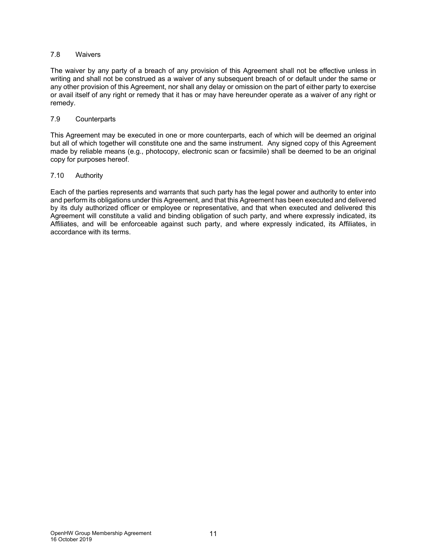#### 7.8 Waivers

The waiver by any party of a breach of any provision of this Agreement shall not be effective unless in writing and shall not be construed as a waiver of any subsequent breach of or default under the same or any other provision of this Agreement, nor shall any delay or omission on the part of either party to exercise or avail itself of any right or remedy that it has or may have hereunder operate as a waiver of any right or remedy.

#### 7.9 Counterparts

This Agreement may be executed in one or more counterparts, each of which will be deemed an original but all of which together will constitute one and the same instrument. Any signed copy of this Agreement made by reliable means (e.g., photocopy, electronic scan or facsimile) shall be deemed to be an original copy for purposes hereof.

#### 7.10 Authority

Each of the parties represents and warrants that such party has the legal power and authority to enter into and perform its obligations under this Agreement, and that this Agreement has been executed and delivered by its duly authorized officer or employee or representative, and that when executed and delivered this Agreement will constitute a valid and binding obligation of such party, and where expressly indicated, its Affiliates, and will be enforceable against such party, and where expressly indicated, its Affiliates, in accordance with its terms.